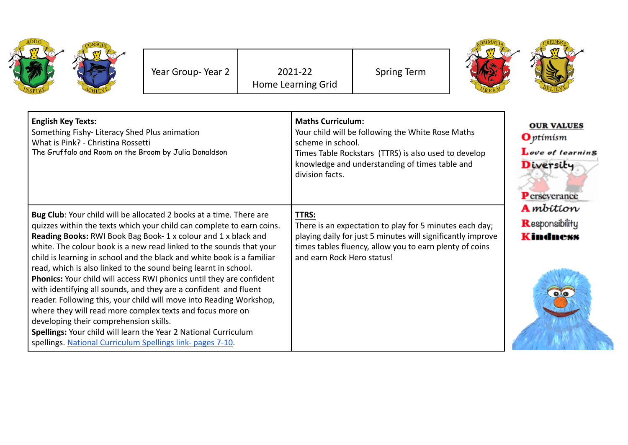|                                                                                                                                                                                                                                                                                                                                                                                                                                                         | Year Group-Year 2 | 2021-22<br>Home Learning Grid                                    | <b>Spring Term</b>                                                                                                                                                                                              |  |                                                                                        |
|---------------------------------------------------------------------------------------------------------------------------------------------------------------------------------------------------------------------------------------------------------------------------------------------------------------------------------------------------------------------------------------------------------------------------------------------------------|-------------------|------------------------------------------------------------------|-----------------------------------------------------------------------------------------------------------------------------------------------------------------------------------------------------------------|--|----------------------------------------------------------------------------------------|
| <b>English Key Texts:</b><br>Something Fishy- Literacy Shed Plus animation<br>What is Pink? - Christina Rossetti<br>The Gruffalo and Room on the Broom by Julia Donaldson                                                                                                                                                                                                                                                                               |                   | <b>Maths Curriculum:</b><br>scheme in school.<br>division facts. | Your child will be following the White Rose Maths<br>Times Table Rockstars (TTRS) is also used to develop<br>knowledge and understanding of times table and                                                     |  | <b>OUR VALUES</b><br><b>O</b> ptimism<br>Love of learning<br>Diversity<br>Perseverance |
| Bug Club: Your child will be allocated 2 books at a time. There are<br>quizzes within the texts which your child can complete to earn coins.<br>Reading Books: RWI Book Bag Book-1 x colour and 1 x black and<br>white. The colour book is a new read linked to the sounds that your<br>child is learning in school and the black and white book is a familiar<br>read, which is also linked to the sound being learnt in school.                       |                   | <b>TTRS:</b>                                                     | There is an expectation to play for 5 minutes each day;<br>playing daily for just 5 minutes will significantly improve<br>times tables fluency, allow you to earn plenty of coins<br>and earn Rock Hero status! |  | <b>A</b> mbition<br>Responsibility<br><b>Kindness</b>                                  |
| Phonics: Your child will access RWI phonics until they are confident<br>with identifying all sounds, and they are a confident and fluent<br>reader. Following this, your child will move into Reading Workshop,<br>where they will read more complex texts and focus more on<br>developing their comprehension skills.<br>Spellings: Your child will learn the Year 2 National Curriculum<br>spellings. National Curriculum Spellings link- pages 7-10. |                   |                                                                  |                                                                                                                                                                                                                 |  | $\bullet$                                                                              |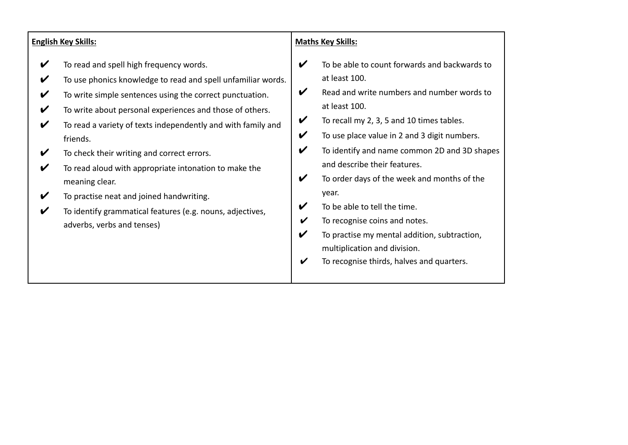| V<br>To read and spell high frequency words.<br>V<br>at least 100.<br>To use phonics knowledge to read and spell unfamiliar words.<br>V<br>V<br>To write simple sentences using the correct punctuation.<br>V<br>at least 100.<br>To write about personal experiences and those of others.<br>V<br>V<br>To recall my 2, 3, 5 and 10 times tables.<br>To read a variety of texts independently and with family and<br>V<br>$\boldsymbol{\mathcal{U}}$<br>To use place value in 2 and 3 digit numbers.<br>friends.<br>V<br>To check their writing and correct errors.<br>V<br>and describe their features.<br>To read aloud with appropriate intonation to make the<br>V | <b>English Key Skills:</b> |   | <b>Maths Key Skills:</b>                                                                                                                                                                   |
|------------------------------------------------------------------------------------------------------------------------------------------------------------------------------------------------------------------------------------------------------------------------------------------------------------------------------------------------------------------------------------------------------------------------------------------------------------------------------------------------------------------------------------------------------------------------------------------------------------------------------------------------------------------------|----------------------------|---|--------------------------------------------------------------------------------------------------------------------------------------------------------------------------------------------|
| meaning clear.<br>year.<br>$\boldsymbol{\mathcal{U}}$<br>To practise neat and joined handwriting.<br>V<br>To be able to tell the time.<br>To identify grammatical features (e.g. nouns, adjectives,<br>V<br>To recognise coins and notes.<br>V<br>adverbs, verbs and tenses)<br>V<br>To practise my mental addition, subtraction,<br>multiplication and division.<br>To recognise thirds, halves and quarters.                                                                                                                                                                                                                                                         |                            | V | To be able to count forwards and backwards to<br>Read and write numbers and number words to<br>To identify and name common 2D and 3D shapes<br>To order days of the week and months of the |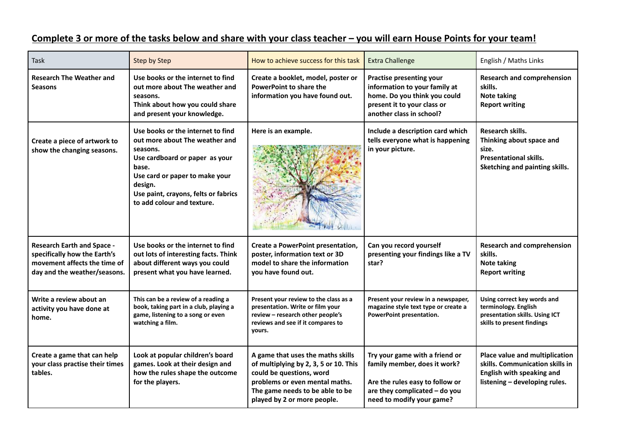| Task                                                                                                                              | <b>Step by Step</b>                                                                                                                                                                                                                           | How to achieve success for this task                                                                                                                                                                       | <b>Extra Challenge</b>                                                                                                                                          | English / Maths Links                                                                                                           |
|-----------------------------------------------------------------------------------------------------------------------------------|-----------------------------------------------------------------------------------------------------------------------------------------------------------------------------------------------------------------------------------------------|------------------------------------------------------------------------------------------------------------------------------------------------------------------------------------------------------------|-----------------------------------------------------------------------------------------------------------------------------------------------------------------|---------------------------------------------------------------------------------------------------------------------------------|
| <b>Research The Weather and</b><br><b>Seasons</b>                                                                                 | Use books or the internet to find<br>out more about The weather and<br>seasons.<br>Think about how you could share<br>and present your knowledge.                                                                                             | Create a booklet, model, poster or<br><b>PowerPoint to share the</b><br>information you have found out.                                                                                                    | <b>Practise presenting your</b><br>information to your family at<br>home. Do you think you could<br>present it to your class or<br>another class in school?     | <b>Research and comprehension</b><br>skills.<br><b>Note taking</b><br><b>Report writing</b>                                     |
| Create a piece of artwork to<br>show the changing seasons.                                                                        | Use books or the internet to find<br>out more about The weather and<br>seasons.<br>Use cardboard or paper as your<br>base.<br>Use card or paper to make your<br>design.<br>Use paint, crayons, felts or fabrics<br>to add colour and texture. | Here is an example.                                                                                                                                                                                        | Include a description card which<br>tells everyone what is happening<br>in your picture.                                                                        | Research skills.<br>Thinking about space and<br>size.<br><b>Presentational skills.</b><br>Sketching and painting skills.        |
| <b>Research Earth and Space -</b><br>specifically how the Earth's<br>movement affects the time of<br>day and the weather/seasons. | Use books or the internet to find<br>out lots of interesting facts. Think<br>about different ways you could<br>present what you have learned.                                                                                                 | <b>Create a PowerPoint presentation,</b><br>poster, information text or 3D<br>model to share the information<br>you have found out.                                                                        | Can you record yourself<br>presenting your findings like a TV<br>star?                                                                                          | <b>Research and comprehension</b><br>skills.<br><b>Note taking</b><br><b>Report writing</b>                                     |
| Write a review about an<br>activity you have done at<br>home.                                                                     | This can be a review of a reading a<br>book, taking part in a club, playing a<br>game, listening to a song or even<br>watching a film.                                                                                                        | Present your review to the class as a<br>presentation. Write or film your<br>review - research other people's<br>reviews and see if it compares to<br>yours.                                               | Present your review in a newspaper,<br>magazine style text type or create a<br>PowerPoint presentation.                                                         | Using correct key words and<br>terminology. English<br>presentation skills. Using ICT<br>skills to present findings             |
| Create a game that can help<br>your class practise their times<br>tables.                                                         | Look at popular children's board<br>games. Look at their design and<br>how the rules shape the outcome<br>for the players.                                                                                                                    | A game that uses the maths skills<br>of multiplying by 2, 3, 5 or 10. This<br>could be questions, word<br>problems or even mental maths.<br>The game needs to be able to be<br>played by 2 or more people. | Try your game with a friend or<br>family member, does it work?<br>Are the rules easy to follow or<br>are they complicated - do you<br>need to modify your game? | Place value and multiplication<br>skills. Communication skills in<br>English with speaking and<br>listening - developing rules. |

## Complete 3 or more of the tasks below and share with your class teacher - you will earn House Points for your team!